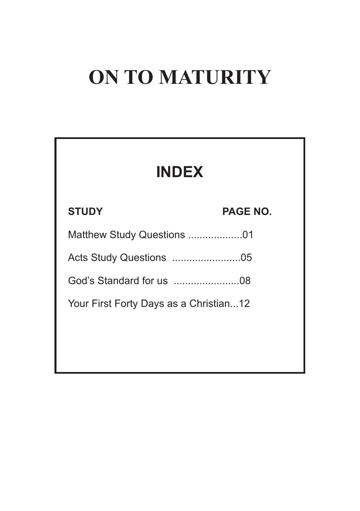# **ON TO MATURITY**

| <b>INDEX</b>                           |                 |
|----------------------------------------|-----------------|
| <b>STUDY</b>                           | <b>PAGE NO.</b> |
| Matthew Study Questions 01             |                 |
|                                        |                 |
|                                        |                 |
| Your First Forty Days as a Christian12 |                 |
|                                        |                 |
|                                        |                 |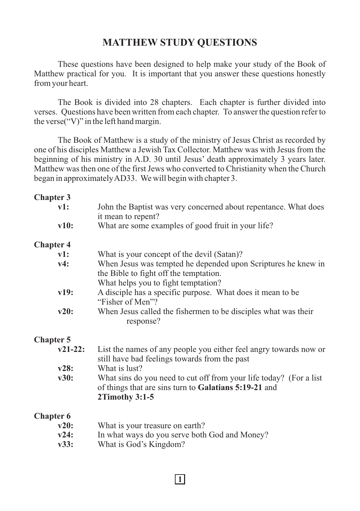## **MATTHEW STUDY QUESTIONS**

These questions have been designed to help make your study of the Book of Matthew practical for you. It is important that you answer these questions honestly from your heart.

The Book is divided into 28 chapters. Each chapter is further divided into verses. Questions have been written from each chapter. To answer the question refer to the verse("V)" in the left hand margin.

The Book of Matthew is a study of the ministry of Jesus Christ as recorded by one of his disciples Matthew a Jewish Tax Collector. Matthew was with Jesus from the beginning of his ministry in A.D. 30 until Jesus' death approximately 3 years later. Matthew was then one of the first Jews who converted to Christianity when the Church began in approximately AD33. We will begin with chapter 3.

#### **Chapter 3**

| v1:              | John the Baptist was very concerned about repentance. What does                                                                               |
|------------------|-----------------------------------------------------------------------------------------------------------------------------------------------|
|                  | it mean to repent?                                                                                                                            |
| v10:             | What are some examples of good fruit in your life?                                                                                            |
| <b>Chapter 4</b> |                                                                                                                                               |
| $v1$ :           | What is your concept of the devil (Satan)?                                                                                                    |
| v4:              | When Jesus was tempted he depended upon Scriptures he knew in<br>the Bible to fight off the temptation.                                       |
|                  | What helps you to fight temptation?                                                                                                           |
| v19:             | A disciple has a specific purpose. What does it mean to be<br>"Fisher of Men"?                                                                |
| v20:             | When Jesus called the fishermen to be disciples what was their<br>response?                                                                   |
| <b>Chapter 5</b> |                                                                                                                                               |
| $v21-22:$        | List the names of any people you either feel angry towards now or<br>still have bad feelings towards from the past                            |
| v28:             | What is lust?                                                                                                                                 |
| v30:             | What sins do you need to cut off from your life today? (For a list<br>of things that are sins turn to Galatians 5:19-21 and<br>2Timothy 3:1-5 |
| <b>Chapter 6</b> |                                                                                                                                               |
| v20:             | What is your treasure on earth?                                                                                                               |
| v24:             | In what ways do you serve both God and Money?                                                                                                 |
|                  | $\mathbf{v}$                                                                                                                                  |

**1**

**v33:** What is God's Kingdom?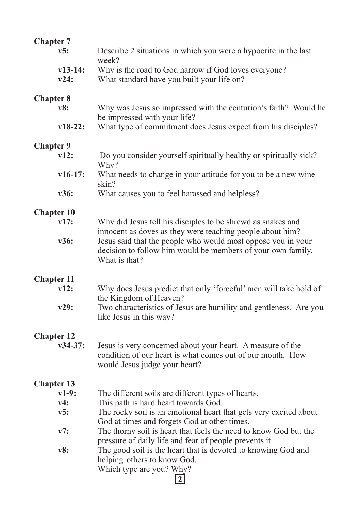| <b>Chapter 7</b>               |                                                                                                                           |
|--------------------------------|---------------------------------------------------------------------------------------------------------------------------|
| v5:                            | Describe 2 situations in which you were a hypocrite in the last                                                           |
|                                | week?                                                                                                                     |
| $v13-14:$<br>v24:              | Why is the road to God narrow if God loves everyone?<br>What standard have you built your life on?                        |
|                                |                                                                                                                           |
| <b>Chapter 8</b>               |                                                                                                                           |
| v8:                            | Why was Jesus so impressed with the centurion's faith? Would he                                                           |
|                                | be impressed with your life?                                                                                              |
| $v18-22:$                      | What type of commitment does Jesus expect from his disciples?                                                             |
| <b>Chapter 9</b>               |                                                                                                                           |
| v12:                           | Do you consider yourself spiritually healthy or spiritually sick?                                                         |
|                                | Why?                                                                                                                      |
| $v16-17:$                      | What needs to change in your attitude for you to be a new wine<br>skin?                                                   |
| v36:                           | What causes you to feel harassed and helpless?                                                                            |
|                                |                                                                                                                           |
| <b>Chapter 10</b>              |                                                                                                                           |
| v17:                           | Why did Jesus tell his disciples to be shrewd as snakes and                                                               |
| v36:                           | innocent as doves as they were teaching people about him?<br>Jesus said that the people who would most oppose you in your |
|                                | decision to follow him would be members of your own family.                                                               |
|                                | What is that?                                                                                                             |
|                                |                                                                                                                           |
| <b>Chapter 11</b><br>v12:      | Why does Jesus predict that only 'forceful' men will take hold of                                                         |
|                                | the Kingdom of Heaven?                                                                                                    |
| v29:                           | Two characteristics of Jesus are humility and gentleness. Are you                                                         |
|                                | like Jesus in this way?                                                                                                   |
|                                |                                                                                                                           |
| <b>Chapter 12</b><br>$v34-37:$ | Jesus is very concerned about your heart. A measure of the                                                                |
|                                | condition of our heart is what comes out of our mouth. How                                                                |
|                                | would Jesus judge your heart?                                                                                             |
|                                |                                                                                                                           |
| <b>Chapter 13</b><br>$v1-9:$   | The different soils are different types of hearts.                                                                        |
| v4:                            | This path is hard heart towards God.                                                                                      |
| v5:                            | The rocky soil is an emotional heart that gets very excited about                                                         |
|                                | God at times and forgets God at other times.                                                                              |
| v7:                            | The thorny soil is heart that feels the need to know God but the                                                          |
| v8:                            | pressure of daily life and fear of people prevents it.<br>The good soil is the heart that is devoted to knowing God and   |
|                                | helping others to know God.                                                                                               |
|                                | Which type are you? Why?                                                                                                  |
|                                | $\overline{2}$                                                                                                            |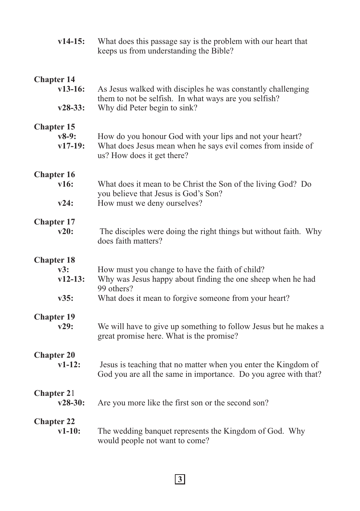| $v14-15:$               | What does this passage say is the problem with our heart that<br>keeps us from understanding the Bible? |
|-------------------------|---------------------------------------------------------------------------------------------------------|
| <b>Chapter 14</b>       | As Jesus walked with disciples he was constantly challenging                                            |
| $v13-16:$               | them to not be selfish. In what ways are you selfish?                                                   |
| $v28-33:$               | Why did Peter begin to sink?                                                                            |
| <b>Chapter 15</b>       | How do you honour God with your lips and not your heart?                                                |
| $v8-9:$                 | What does Jesus mean when he says evil comes from inside of                                             |
| $v17-19:$               | us? How does it get there?                                                                              |
| <b>Chapter 16</b>       | What does it mean to be Christ the Son of the living God? Do                                            |
| v16:                    | you believe that Jesus is God's Son?                                                                    |
| v24:                    | How must we deny ourselves?                                                                             |
| <b>Chapter 17</b>       | The disciples were doing the right things but without faith. Why                                        |
| v20:                    | does faith matters?                                                                                     |
| <b>Chapter 18</b>       | How must you change to have the faith of child?                                                         |
| v3:                     | Why was Jesus happy about finding the one sheep when he had                                             |
| $v12-13:$               | 99 others?                                                                                              |
| v35:                    | What does it mean to forgive someone from your heart?                                                   |
| <b>Chapter 19</b>       | We will have to give up something to follow Jesus but he makes a                                        |
| v29:                    | great promise here. What is the promise?                                                                |
| <b>Chapter 20</b>       | Jesus is teaching that no matter when you enter the Kingdom of                                          |
| $v1-12:$                | God you are all the same in importance. Do you agree with that?                                         |
| Chapter 21<br>$v28-30:$ | Are you more like the first son or the second son?                                                      |
| <b>Chapter 22</b>       | The wedding banquet represents the Kingdom of God. Why                                                  |
| $v1-10:$                | would people not want to come?                                                                          |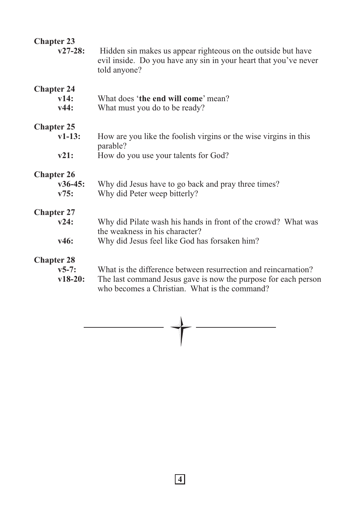| <b>Chapter 23</b><br>$v27-28:$            | Hidden sin makes us appear righteous on the outside but have<br>evil inside. Do you have any sin in your heart that you've never<br>told anyone?                                  |
|-------------------------------------------|-----------------------------------------------------------------------------------------------------------------------------------------------------------------------------------|
| <b>Chapter 24</b><br>v14:<br>v44:         | What does 'the end will come' mean?<br>What must you do to be ready?                                                                                                              |
| <b>Chapter 25</b>                         |                                                                                                                                                                                   |
| $v1-13:$                                  | How are you like the foolish virgins or the wise virgins in this<br>parable?                                                                                                      |
| v21:                                      | How do you use your talents for God?                                                                                                                                              |
| <b>Chapter 26</b><br>$v36-45:$<br>V75:    | Why did Jesus have to go back and pray three times?<br>Why did Peter weep bitterly?                                                                                               |
| <b>Chapter 27</b>                         |                                                                                                                                                                                   |
| v24:                                      | Why did Pilate wash his hands in front of the crowd? What was<br>the weakness in his character?                                                                                   |
| v46:                                      | Why did Jesus feel like God has forsaken him?                                                                                                                                     |
| <b>Chapter 28</b><br>$v5-7:$<br>$v18-20:$ | What is the difference between resurrection and reincarnation?<br>The last command Jesus gave is now the purpose for each person<br>who becomes a Christian. What is the command? |

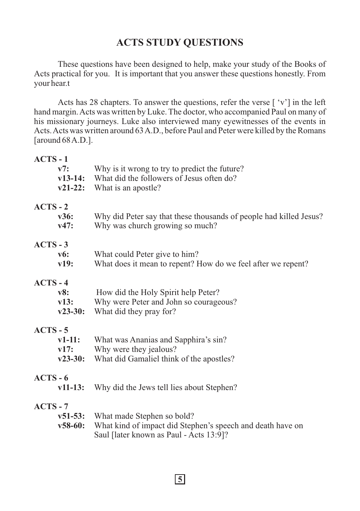## **ACTS STUDY QUESTIONS**

These questions have been designed to help, make your study of the Books of Acts practical for you. It is important that you answer these questions honestly. From your hear.t

Acts has 28 chapters. To answer the questions, refer the verse [ 'v'] in the left hand margin. Acts was written by Luke. The doctor, who accompanied Paul on many of his missionary journeys. Luke also interviewed many eyewitnesses of the events in Acts. Acts was written around 63 A.D., before Paul and Peter were killed by the Romans [around 68 A.D.].

#### **ACTS - 1**

|                 | v7:<br>$v21-22:$              | Why is it wrong to try to predict the future?<br><b>v13-14:</b> What did the followers of Jesus often do?<br>What is an apostle?            |
|-----------------|-------------------------------|---------------------------------------------------------------------------------------------------------------------------------------------|
| $ACTS - 2$      | v36:<br>v47:                  | Why did Peter say that these thousands of people had killed Jesus?<br>Why was church growing so much?                                       |
| $ACTS - 3$      | v6:<br>v19:                   | What could Peter give to him?<br>What does it mean to repent? How do we feel after we repent?                                               |
| $ACTS - 4$      | v8:<br>v13:<br>$v23-30:$      | How did the Holy Spirit help Peter?<br>Why were Peter and John so courageous?<br>What did they pray for?                                    |
| <b>ACTS - 5</b> | $v1-11:$<br>v17:<br>$v23-30:$ | What was Ananias and Sapphira's sin?<br>Why were they jealous?<br>What did Gamaliel think of the apostles?                                  |
| ACTS - 6        | $v11-13:$                     | Why did the Jews tell lies about Stephen?                                                                                                   |
| $ACTS - 7$      | $v58-60:$                     | v51-53: What made Stephen so bold?<br>What kind of impact did Stephen's speech and death have on<br>Saul [later known as Paul - Acts 13:9]? |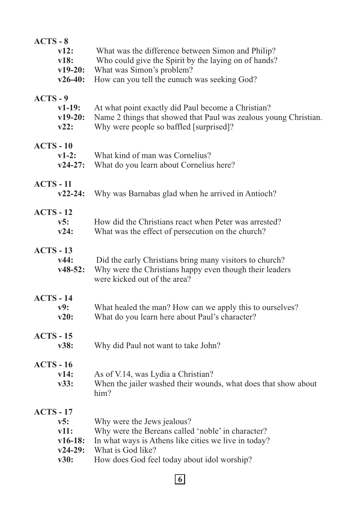| $ACTS - 8$<br>v12:<br>v18:<br>$v19-20:$<br>$v26-40:$              | What was the difference between Simon and Philip?<br>Who could give the Spirit by the laying on of hands?<br>What was Simon's problem?<br>How can you tell the eunuch was seeking God?                      |
|-------------------------------------------------------------------|-------------------------------------------------------------------------------------------------------------------------------------------------------------------------------------------------------------|
| $ACTS - 9$<br>$v1-19:$<br>$v19-20:$<br>v22:                       | At what point exactly did Paul become a Christian?<br>Name 2 things that showed that Paul was zealous young Christian.<br>Why were people so baffled [surprised]?                                           |
| $ACTS - 10$<br>$v1-2:$<br>$v24-27:$                               | What kind of man was Cornelius?<br>What do you learn about Cornelius here?                                                                                                                                  |
| <b>ACTS - 11</b><br>$v22 - 24:$                                   | Why was Barnabas glad when he arrived in Antioch?                                                                                                                                                           |
| $ACTS - 12$<br>v5:<br>v24:                                        | How did the Christians react when Peter was arrested?<br>What was the effect of persecution on the church?                                                                                                  |
| $ACTS - 13$<br>v44:<br>$v48-52:$                                  | Did the early Christians bring many visitors to church?<br>Why were the Christians happy even though their leaders<br>were kicked out of the area?                                                          |
| $ACTS - 14$<br>v9:<br>v20:                                        | What healed the man? How can we apply this to ourselves?<br>What do you learn here about Paul's character?                                                                                                  |
| $ACTS - 15$<br>v38:                                               | Why did Paul not want to take John?                                                                                                                                                                         |
| $ACTS - 16$<br>v14:<br>v33:                                       | As of V.14, was Lydia a Christian?<br>When the jailer washed their wounds, what does that show about<br>him?                                                                                                |
| <b>ACTS - 17</b><br>v5:<br>v11:<br>$v16-18:$<br>$v24-29:$<br>v30: | Why were the Jews jealous?<br>Why were the Bereans called 'noble' in character?<br>In what ways is Athens like cities we live in today?<br>What is God like?<br>How does God feel today about idol worship? |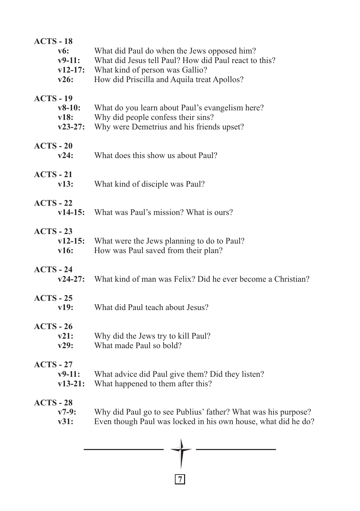| <b>ACTS - 18</b><br>$\bf v6$ :<br>$v9-11:$<br>$v12-17:$<br>v26: | What did Paul do when the Jews opposed him?<br>What did Jesus tell Paul? How did Paul react to this?<br>What kind of person was Gallio?<br>How did Priscilla and Aquila treat Apollos? |
|-----------------------------------------------------------------|----------------------------------------------------------------------------------------------------------------------------------------------------------------------------------------|
| <b>ACTS - 19</b><br>$v8-10:$<br>v18:<br>$v23-27:$               | What do you learn about Paul's evangelism here?<br>Why did people confess their sins?<br>Why were Demetrius and his friends upset?                                                     |
| $ACTS - 20$<br>v24:                                             | What does this show us about Paul?                                                                                                                                                     |
| $ACTS - 21$<br>v13:                                             | What kind of disciple was Paul?                                                                                                                                                        |
| $ACTS - 22$<br>$v14-15:$                                        | What was Paul's mission? What is ours?                                                                                                                                                 |
| $ACTS - 23$<br>$v12-15:$<br>v16:                                | What were the Jews planning to do to Paul?<br>How was Paul saved from their plan?                                                                                                      |
| $ACTS - 24$<br>$v24-27:$                                        | What kind of man was Felix? Did he ever become a Christian?                                                                                                                            |
| $ACTS - 25$<br>v19:                                             | What did Paul teach about Jesus?                                                                                                                                                       |
| $ACTS - 26$<br>v21:<br>v29:                                     | Why did the Jews try to kill Paul?<br>What made Paul so bold?                                                                                                                          |
| $ACTS - 27$<br>$v9-11:$<br>$v13-21:$                            | What advice did Paul give them? Did they listen?<br>What happened to them after this?                                                                                                  |
| $ACTS - 28$<br>$v7-9:$<br>v31:                                  | Why did Paul go to see Publius' father? What was his purpose?<br>Even though Paul was locked in his own house, what did he do?                                                         |
|                                                                 | A                                                                                                                                                                                      |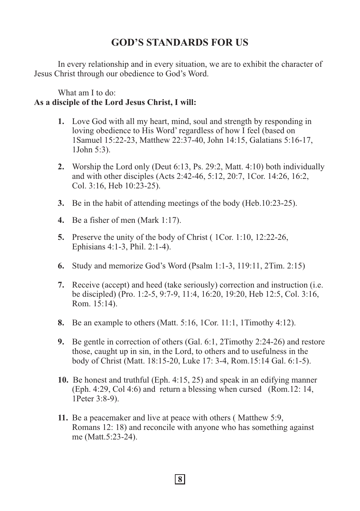## **GOD'S STANDARDS FOR US**

In every relationship and in every situation, we are to exhibit the character of Jesus Christ through our obedience to God's Word.

What am I to do:

## **As a disciple of the Lord Jesus Christ, I will:**

- **1.** Love God with all my heart, mind, soul and strength by responding in loving obedience to His Word' regardless of how I feel (based on 1Samuel 15:22-23, Matthew 22:37-40, John 14:15, Galatians 5:16-17, 1John 5:3).
- **2.** Worship the Lord only (Deut 6:13, Ps. 29:2, Matt. 4:10) both individually and with other disciples (Acts 2:42-46, 5:12, 20:7, 1Cor. 14:26, 16:2, Col. 3:16, Heb 10:23-25).
- **3.** Be in the habit of attending meetings of the body (Heb.10:23-25).
- **4.** Be a fisher of men (Mark 1:17).
- **5.** Preserve the unity of the body of Christ ( 1Cor. 1:10, 12:22-26, Ephisians 4:1-3, Phil. 2:1-4).
- **6.** Study and memorize God's Word (Psalm 1:1-3, 119:11, 2Tim. 2:15)
- **7.** Receive (accept) and heed (take seriously) correction and instruction (i.e. be discipled) (Pro. 1:2-5, 9:7-9, 11:4, 16:20, 19:20, Heb 12:5, Col. 3:16, Rom. 15:14).
- **8.** Be an example to others (Matt. 5:16, 1Cor. 11:1, 1Timothy 4:12).
- **9.** Be gentle in correction of others (Gal. 6:1, 2Timothy 2:24-26) and restore those, caught up in sin, in the Lord, to others and to usefulness in the body of Christ (Matt. 18:15-20, Luke 17: 3-4, Rom.15:14 Gal. 6:1-5).
- **10.** Be honest and truthful (Eph. 4:15, 25) and speak in an edifying manner (Eph. 4:29, Col 4:6) and return a blessing when cursed (Rom.12: 14, 1Peter 3:8-9).
- **11.** Be a peacemaker and live at peace with others ( Matthew 5:9, Romans 12: 18) and reconcile with anyone who has something against me (Matt.5:23-24).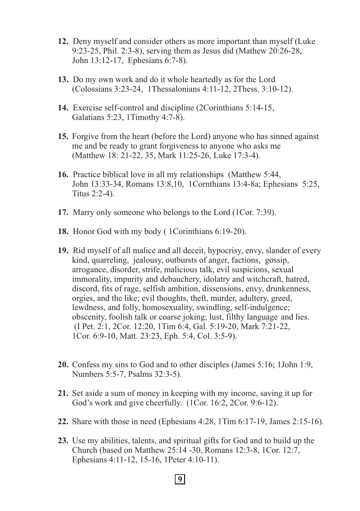- **12.** Deny myself and consider others as more important than myself (Luke 9:23-25, Phil. 2:3-8), serving them as Jesus did (Mathew 20:26-28, John 13:12-17, Ephesians 6:7-8).
- **13.** Do my own work and do it whole heartedly as for the Lord (Colossians 3:23-24, 1Thessalonians 4:11-12, 2Thess. 3:10-12).
- **14.** Exercise self-control and discipline (2Corinthians 5:14-15, Galatians 5:23, 1Timothy 4:7-8).
- **15.** Forgive from the heart (before the Lord) anyone who has sinned against me and be ready to grant forgiveness to anyone who asks me (Matthew 18: 21-22, 35, Mark 11:25-26, Luke 17:3-4).
- **16.** Practice biblical love in all my relationships (Matthew 5:44, John 13:33-34, Romans 13:8,10, 1Cornthians 13:4-8a; Ephesians 5:25, Titus 2:2-4).
- **17.** Marry only someone who belongs to the Lord (1Cor. 7:39).
- **18.** Honor God with my body ( 1Corinthians 6:19-20).
- **19.** Rid myself of all malice and all deceit, hypocrisy, envy, slander of every kind, quarreling, jealousy, outbursts of anger, factions, gossip, arrogance, disorder, strife, malicious talk, evil suspicions, sexual immorality, impurity and debauchery, idolatry and witchcraft, hatred, discord, fits of rage, selfish ambition, dissensions, envy, drunkenness, orgies, and the like; evil thoughts, theft, murder, adultery, greed, lewdness, and folly, homosexuality, swindling, self-indulgence; obscenity, foolish talk or coarse joking; lust, filthy language and lies. (I Pet. 2:1, 2Cor. 12:20, 1Tim 6:4, Gal. 5:19-20, Mark 7:21-22, 1Cor. 6:9-10, Matt. 23:23, Eph. 5:4, Col. 3:5-9).
- **20.** Confess my sins to God and to other disciples (James 5:16; 1John 1:9, Numbers 5:5-7, Psalms 32:3-5).
- **21.** Set aside a sum of money in keeping with my income, saving it up for God's work and give cheerfully. (1Cor. 16:2, 2Cor. 9:6-12).
- **22.** Share with those in need (Ephesians 4:28, 1Tim 6:17-19, James 2:15-16).
- **23.** Use my abilities, talents, and spiritual gifts for God and to build up the Church (based on Matthew 25:14 -30, Romans 12:3-8, 1Cor. 12:7, Ephesians 4:11-12, 15-16, 1Peter 4:10-11).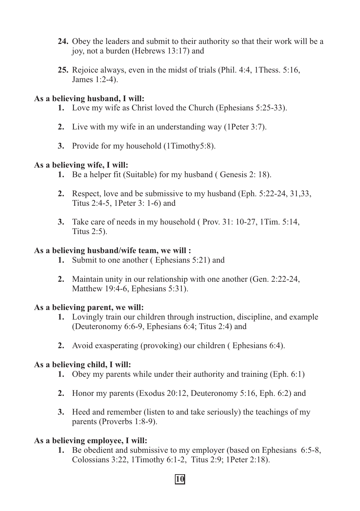- **24.** Obey the leaders and submit to their authority so that their work will be a joy, not a burden (Hebrews 13:17) and
- **25.** Rejoice always, even in the midst of trials (Phil. 4:4, 1Thess. 5:16, James 1:2-4).

#### **As a believing husband, I will:**

- **1.** Love my wife as Christ loved the Church (Ephesians 5:25-33).
- **2.** Live with my wife in an understanding way (1Peter 3:7).
- **3.** Provide for my household (1Timothy5:8).

## **As a believing wife, I will:**

- **1.** Be a helper fit (Suitable) for my husband ( Genesis 2: 18).
- **2.** Respect, love and be submissive to my husband (Eph. 5:22-24, 31,33, Titus 2:4-5, 1Peter 3: 1-6) and
- **3.** Take care of needs in my household ( Prov. 31: 10-27, 1Tim. 5:14, Titus 2:5).

#### **As a believing husband/wife team, we will :**

- **1.** Submit to one another ( Ephesians 5:21) and
- **2.** Maintain unity in our relationship with one another (Gen. 2:22-24, Matthew 19:4-6, Ephesians 5:31).

#### **As a believing parent, we will:**

- **1.** Lovingly train our children through instruction, discipline, and example (Deuteronomy 6:6-9, Ephesians 6:4; Titus 2:4) and
- **2.** Avoid exasperating (provoking) our children ( Ephesians 6:4).

## **As a believing child, I will:**

- **1.** Obey my parents while under their authority and training (Eph. 6:1)
- **2.** Honor my parents (Exodus 20:12, Deuteronomy 5:16, Eph. 6:2) and
- **3.** Heed and remember (listen to and take seriously) the teachings of my parents (Proverbs 1:8-9).

## **As a believing employee, I will:**

**1.** Be obedient and submissive to my employer (based on Ephesians 6:5-8, Colossians 3:22, 1Timothy 6:1-2, Titus 2:9; 1Peter 2:18).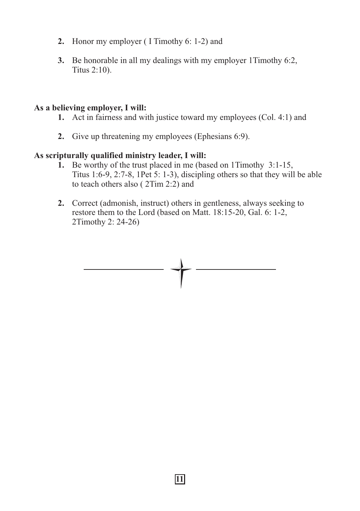- **2.** Honor my employer ( I Timothy 6: 1-2) and
- **3.** Be honorable in all my dealings with my employer 1Timothy 6:2, Titus 2:10).

#### **As a believing employer, I will:**

- **1.** Act in fairness and with justice toward my employees (Col. 4:1) and
- **2.** Give up threatening my employees (Ephesians 6:9).

## **As scripturally qualified ministry leader, I will:**

- **1.** Be worthy of the trust placed in me (based on 1Timothy 3:1-15, Titus 1:6-9, 2:7-8, 1Pet 5: 1-3), discipling others so that they will be able to teach others also ( 2Tim 2:2) and
- **2.** Correct (admonish, instruct) others in gentleness, always seeking to restore them to the Lord (based on Matt. 18:15-20, Gal. 6: 1-2, 2Timothy 2: 24-26)

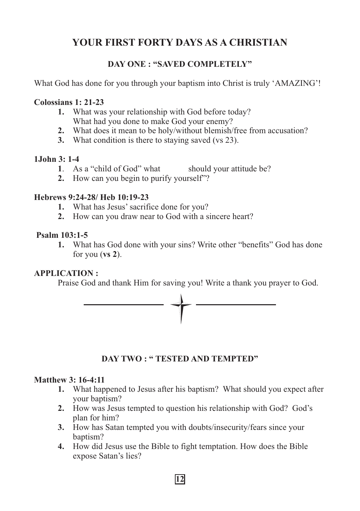## **YOUR FIRST FORTY DAYS AS A CHRISTIAN**

## **DAY ONE : "SAVED COMPLETELY"**

What God has done for you through your baptism into Christ is truly 'AMAZING'!

## **Colossians 1: 21-23**

- **1.** What was your relationship with God before today? What had you done to make God your enemy?
- **2.** What does it mean to be holy/without blemish/free from accusation?
- **3.** What condition is there to staying saved (vs 23).

## **1John 3: 1-4**

- **1**. As a "child of God" what should your attitude be?
- **2.** How can you begin to purify yourself"?

## **Hebrews 9:24-28/ Heb 10:19-23**

- **1.** What has Jesus' sacrifice done for you?
- **2.** How can you draw near to God with a sincere heart?

## **Psalm 103:1-5**

**1.** What has God done with your sins? Write other "benefits" God has done for you (**vs 2**).

## **APPLICATION :**

Praise God and thank Him for saving you! Write a thank you prayer to God.



## **DAY TWO : " TESTED AND TEMPTED"**

## **Matthew 3: 16-4:11**

- **1.** What happened to Jesus after his baptism? What should you expect after your baptism?
- **2.** How was Jesus tempted to question his relationship with God? God's plan for him?
- **3.** How has Satan tempted you with doubts/insecurity/fears since your baptism?
- **4.** How did Jesus use the Bible to fight temptation. How does the Bible expose Satan's lies?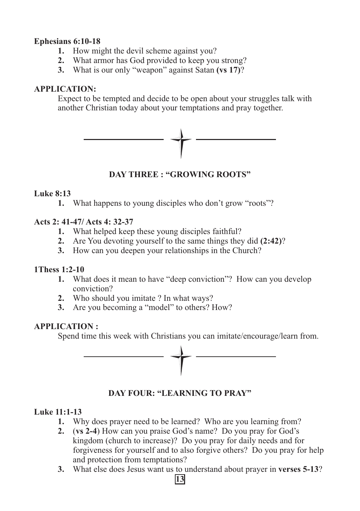## **Ephesians 6:10-18**

- **1.** How might the devil scheme against you?
- **2.** What armor has God provided to keep you strong?
- **3.** What is our only "weapon" against Satan **(vs 17)**?

## **APPLICATION:**

Expect to be tempted and decide to be open about your struggles talk with another Christian today about your temptations and pray together.



## **DAY THREE : "GROWING ROOTS"**

## **Luke 8:13**

**1.** What happens to young disciples who don't grow "roots"?

## **Acts 2: 41-47/ Acts 4: 32-37**

- **1.** What helped keep these young disciples faithful?
- **2.** Are You devoting yourself to the same things they did **(2:42)**?
- **3.** How can you deepen your relationships in the Church?

## **1Thess 1:2-10**

- **1.** What does it mean to have "deep conviction"? How can you develop conviction?
- **2.** Who should you imitate ? In what ways?
- **3.** Are you becoming a "model" to others? How?

## **APPLICATION :**

Spend time this week with Christians you can imitate/encourage/learn from.



## **DAY FOUR: "LEARNING TO PRAY"**

## **Luke 11:1-13**

**1.** Why does prayer need to be learned? Who are you learning from?

- **2.** (**vs 2-4**) How can you praise God's name? Do you pray for God's kingdom (church to increase)? Do you pray for daily needs and for forgiveness for yourself and to also forgive others? Do you pray for help and protection from temptations?
- **3.** What else does Jesus want us to understand about prayer in **verses 5-13**?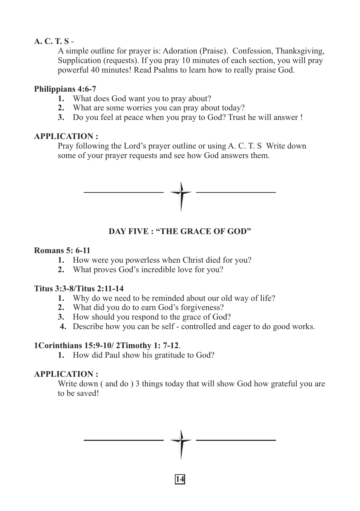## **A. C. T. S** -

A simple outline for prayer is: Adoration (Praise). Confession, Thanksgiving, Supplication (requests). If you pray 10 minutes of each section, you will pray powerful 40 minutes! Read Psalms to learn how to really praise God.

## **Philippians 4:6-7**

- **1.** What does God want you to pray about?
- **2.** What are some worries you can pray about today?
- **3.** Do you feel at peace when you pray to God? Trust he will answer !

## **APPLICATION :**

Pray following the Lord's prayer outline or using A. C. T. S Write down some of your prayer requests and see how God answers them.



**DAY FIVE : "THE GRACE OF GOD"**

## **Romans 5: 6-11**

- **1.** How were you powerless when Christ died for you?
- **2.** What proves God's incredible love for you?

## **Titus 3:3-8/Titus 2:11-14**

- **1.** Why do we need to be reminded about our old way of life?
- **2.** What did you do to earn God's forgiveness?
- **3.** How should you respond to the grace of God?
- **4.** Describe how you can be self controlled and eager to do good works.

## **1Corinthians 15:9-10/ 2Timothy 1: 7-12**.

**1.** How did Paul show his gratitude to God?

## **APPLICATION :**

Write down (and do) 3 things today that will show God how grateful you are to be saved!

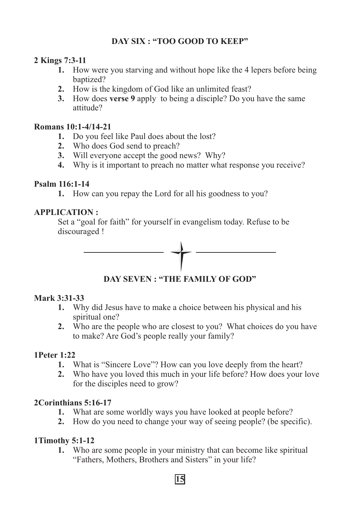## **DAY SIX : "TOO GOOD TO KEEP"**

## **2 Kings 7:3-11**

- **1.** How were you starving and without hope like the 4 lepers before being baptized?
- **2.** How is the kingdom of God like an unlimited feast?
- **3.** How does **verse 9** apply to being a disciple? Do you have the same attitude?

## **Romans 10:1-4/14-21**

- **1.** Do you feel like Paul does about the lost?
- **2.** Who does God send to preach?
- **3.** Will everyone accept the good news? Why?
- **4.** Why is it important to preach no matter what response you receive?

## **Psalm 116:1-14**

**1.** How can you repay the Lord for all his goodness to you?

## **APPLICATION :**

Set a "goal for faith" for yourself in evangelism today. Refuse to be discouraged !



**DAY SEVEN : "THE FAMILY OF GOD"**

## **Mark 3:31-33**

- **1.** Why did Jesus have to make a choice between his physical and his spiritual one?
- **2.** Who are the people who are closest to you? What choices do you have to make? Are God's people really your family?

## **1Peter 1:22**

- **1.** What is "Sincere Love"? How can you love deeply from the heart?
- **2.** Who have you loved this much in your life before? How does your love for the disciples need to grow?

## **2Corinthians 5:16-17**

- **1.** What are some worldly ways you have looked at people before?
- **2.** How do you need to change your way of seeing people? (be specific).

## **1Timothy 5:1-12**

**1.** Who are some people in your ministry that can become like spiritual "Fathers, Mothers, Brothers and Sisters" in your life?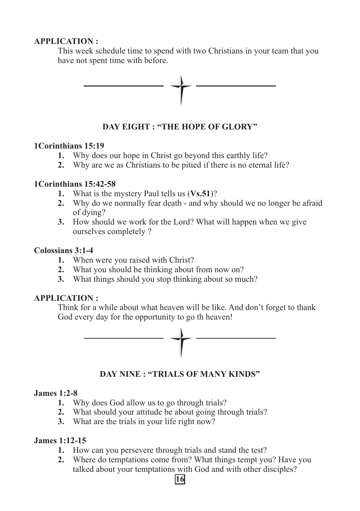## **APPLICATION :**

This week schedule time to spend with two Christians in your team that you have not spent time with before.



**DAY EIGHT : "THE HOPE OF GLORY"**

#### **1Corinthians 15:19**

- **1.** Why does our hope in Christ go beyond this earthly life?
- **2.** Why are we as Christians to be pitied if there is no eternal life?

## **1Corinthians 15:42-58**

- **1.** What is the mystery Paul tells us (**Vs.51**)?
- **2.** Why do we normally fear death and why should we no longer be afraid of dying?
- **3.** How should we work for the Lord? What will happen when we give ourselves completely ?

#### **Colossians 3:1-4**

- **1.** When were you raised with Christ?
- **2.** What you should be thinking about from now on?
- **3.** What things should you stop thinking about so much?

## **APPLICATION :**

Think for a while about what heaven will be like. And don't forget to thank God every day for the opportunity to go th heaven!



**DAY NINE : "TRIALS OF MANY KINDS"**

## **James 1:2-8**

- **1.** Why does God allow us to go through trials?
- **2.** What should your attitude be about going through trials?
- **3.** What are the trials in your life right now?

## **James 1:12-15**

- **1.** How can you persevere through trials and stand the test?
- **2.** Where do temptations come from? What things tempt you? Have you talked about your temptations with God and with other disciples?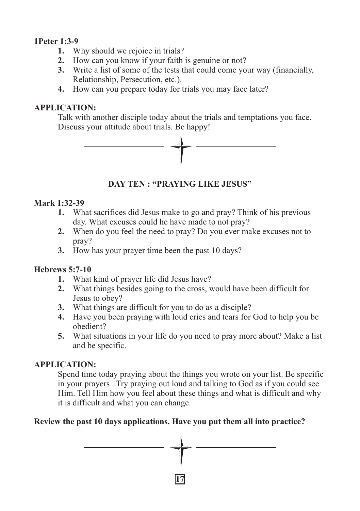## **1Peter 1:3-9**

- **1.** Why should we rejoice in trials?
- **2.** How can you know if your faith is genuine or not?
- **3.** Write a list of some of the tests that could come your way (financially, Relationship, Persecution, etc.).
- **4.** How can you prepare today for trials you may face later?

## **APPLICATION:**

Talk with another disciple today about the trials and temptations you face. Discuss your attitude about trials. Be happy!



## **DAY TEN : "PRAYING LIKE JESUS"**

## **Mark 1:32-39**

- **1.** What sacrifices did Jesus make to go and pray? Think of his previous day. What excuses could he have made to not pray?
- **2.** When do you feel the need to pray? Do you ever make excuses not to pray?
- **3.** How has your prayer time been the past 10 days?

## **Hebrews 5:7-10**

- **1.** What kind of prayer life did Jesus have?
- **2.** What things besides going to the cross, would have been difficult for Jesus to obey?
- **3.** What things are difficult for you to do as a disciple?
- **4.** Have you been praying with loud cries and tears for God to help you be obedient?
- **5.** What situations in your life do you need to pray more about? Make a list and be specific.

## **APPLICATION:**

Spend time today praying about the things you wrote on your list. Be specific in your prayers . Try praying out loud and talking to God as if you could see Him. Tell Him how you feel about these things and what is difficult and why it is difficult and what you can change.

## **Review the past 10 days applications. Have you put them all into practice?**

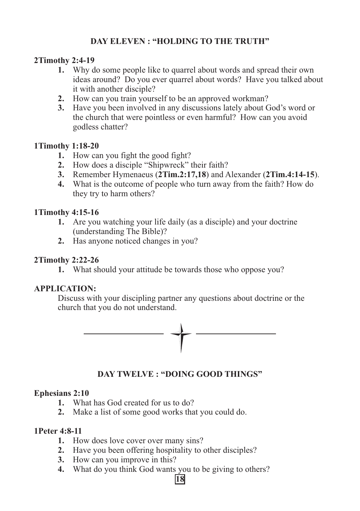## **DAY ELEVEN : "HOLDING TO THE TRUTH"**

## **2Timothy 2:4-19**

- **1.** Why do some people like to quarrel about words and spread their own ideas around? Do you ever quarrel about words? Have you talked about it with another disciple?
- **2.** How can you train yourself to be an approved workman?
- **3.** Have you been involved in any discussions lately about God's word or the church that were pointless or even harmful? How can you avoid godless chatter?

## **1Timothy 1:18-20**

- **1.** How can you fight the good fight?
- **2.** How does a disciple "Shipwreck" their faith?
- **3.** Remember Hymenaeus (**2Tim.2:17,18**) and Alexander (**2Tim.4:14-15**).
- **4.** What is the outcome of people who turn away from the faith? How do they try to harm others?

## **1Timothy 4:15-16**

- **1.** Are you watching your life daily (as a disciple) and your doctrine (understanding The Bible)?
- **2.** Has anyone noticed changes in you?

## **2Timothy 2:22-26**

**1.** What should your attitude be towards those who oppose you?

## **APPLICATION:**

Discuss with your discipling partner any questions about doctrine or the church that you do not understand.



## **DAY TWELVE : "DOING GOOD THINGS"**

## **Ephesians 2:10**

- **1.** What has God created for us to do?
- **2.** Make a list of some good works that you could do.

## **1Peter 4:8-11**

- **1.** How does love cover over many sins?
- **2.** Have you been offering hospitality to other disciples?
- **3.** How can you improve in this?
- **4.** What do you think God wants you to be giving to others?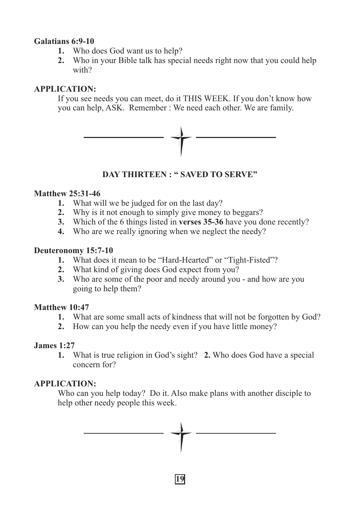## **Galatians 6:9-10**

- **1.** Who does God want us to help?
- **2.** Who in your Bible talk has special needs right now that you could help with?

#### **APPLICATION:**

If you see needs you can meet, do it THIS WEEK. If you don't know how you can help, ASK. Remember : We need each other. We are family.



## **DAY THIRTEEN : " SAVED TO SERVE"**

#### **Matthew 25:31-46**

- **1.** What will we be judged for on the last day?
- **2.** Why is it not enough to simply give money to beggars?
- **3.** Which of the 6 things listed in **verses 35-36** have you done recently?
- **4.** Who are we really ignoring when we neglect the needy?

#### **Deuteronomy 15:7-10**

- **1.** What does it mean to be "Hard-Hearted" or "Tight-Fisted"?
- **2.** What kind of giving does God expect from you?
- **3.** Who are some of the poor and needy around you and how are you going to help them?

## **Matthew 10:47**

- **1.** What are some small acts of kindness that will not be forgotten by God?
- **2.** How can you help the needy even if you have little money?

## **James 1:27**

**1.** What is true religion in God's sight? **2.** Who does God have a special concern for?

## **APPLICATION:**

Who can you help today? Do it. Also make plans with another disciple to help other needy people this week.

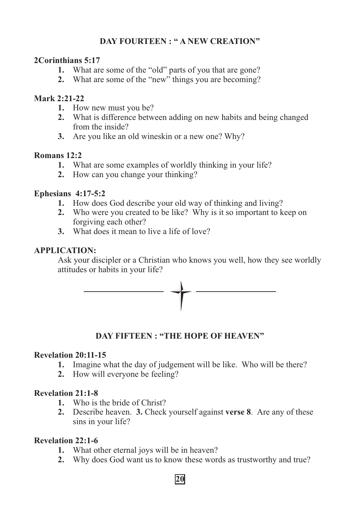## **DAY FOURTEEN : " A NEW CREATION"**

#### **2Corinthians 5:17**

- **1.** What are some of the "old" parts of you that are gone?
- **2.** What are some of the "new" things you are becoming?

## **Mark 2:21-22**

- **1.** How new must you be?
- **2.** What is difference between adding on new habits and being changed from the inside?
- **3.** Are you like an old wineskin or a new one? Why?

## **Romans 12:2**

- **1.** What are some examples of worldly thinking in your life?
- **2.** How can you change your thinking?

## **Ephesians 4:17-5:2**

- **1.** How does God describe your old way of thinking and living?
- **2.** Who were you created to be like? Why is it so important to keep on forgiving each other?
- **3.** What does it mean to live a life of love?

## **APPLICATION:**

Ask your discipler or a Christian who knows you well, how they see worldly attitudes or habits in your life?



**DAY FIFTEEN : "THE HOPE OF HEAVEN"**

## **Revelation 20:11-15**

- **1.** Imagine what the day of judgement will be like. Who will be there?
- **2.** How will everyone be feeling?

## **Revelation 21:1-8**

- **1.** Who is the bride of Christ?
- **2.** Describe heaven. **3.** Check yourself against **verse 8**. Are any of these sins in your life?

## **Revelation 22:1-6**

- **1.** What other eternal joys will be in heaven?
- **2.** Why does God want us to know these words as trustworthy and true?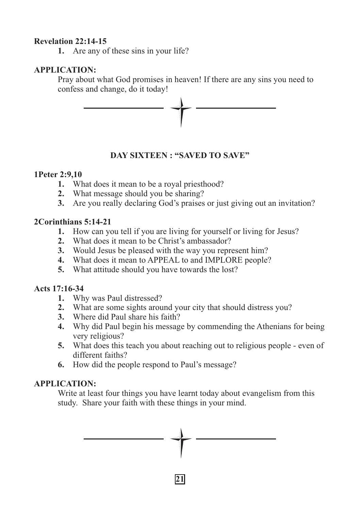#### **Revelation 22:14-15**

**1.** Are any of these sins in your life?

## **APPLICATION:**

Pray about what God promises in heaven! If there are any sins you need to confess and change, do it today!



## **DAY SIXTEEN : "SAVED TO SAVE"**

## **1Peter 2:9,10**

- **1.** What does it mean to be a royal priesthood?
- **2.** What message should you be sharing?
- **3.** Are you really declaring God's praises or just giving out an invitation?

## **2Corinthians 5:14-21**

- **1.** How can you tell if you are living for yourself or living for Jesus?
- **2.** What does it mean to be Christ's ambassador?
- **3.** Would Jesus be pleased with the way you represent him?
- **4.** What does it mean to APPEAL to and IMPLORE people?
- **5.** What attitude should you have towards the lost?

## **Acts 17:16-34**

- **1.** Why was Paul distressed?
- **2.** What are some sights around your city that should distress you?
- **3.** Where did Paul share his faith?
- **4.** Why did Paul begin his message by commending the Athenians for being very religious?
- **5.** What does this teach you about reaching out to religious people even of different faiths?
- **6.** How did the people respond to Paul's message?

## **APPLICATION:**

Write at least four things you have learnt today about evangelism from this study. Share your faith with these things in your mind.

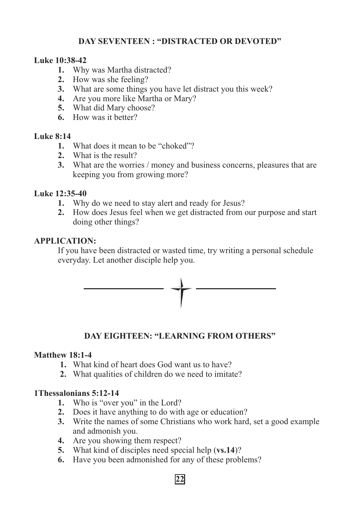## **DAY SEVENTEEN : "DISTRACTED OR DEVOTED"**

## **Luke 10:38-42**

- **1.** Why was Martha distracted?
- **2.** How was she feeling?
- **3.** What are some things you have let distract you this week?
- **4.** Are you more like Martha or Mary?
- **5.** What did Mary choose?
- **6.** How was it better?

## **Luke 8:14**

- **1.** What does it mean to be "choked"?
- **2.** What is the result?
- **3.** What are the worries / money and business concerns, pleasures that are keeping you from growing more?

## **Luke 12:35-40**

- **1.** Why do we need to stay alert and ready for Jesus?
- **2.** How does Jesus feel when we get distracted from our purpose and start doing other things?

## **APPLICATION:**

If you have been distracted or wasted time, try writing a personal schedule everyday. Let another disciple help you.



## **DAY EIGHTEEN: "LEARNING FROM OTHERS"**

## **Matthew 18:1-4**

- **1.** What kind of heart does God want us to have?
- **2.** What qualities of children do we need to imitate?

## **1Thessalonians 5:12-14**

- **1.** Who is "over you" in the Lord?
- **2.** Does it have anything to do with age or education?
- **3.** Write the names of some Christians who work hard, set a good example and admonish you.
- **4.** Are you showing them respect?
- **5.** What kind of disciples need special help (**vs.14**)?
- **6.** Have you been admonished for any of these problems?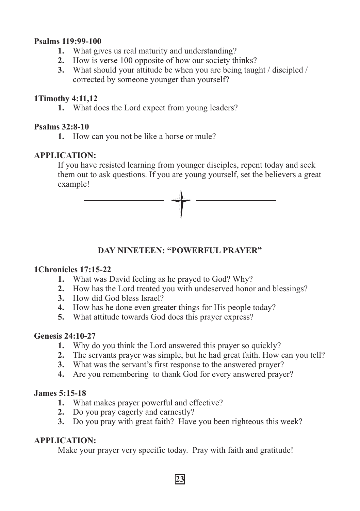#### **Psalms 119:99-100**

- **1.** What gives us real maturity and understanding?
- **2.** How is verse 100 opposite of how our society thinks?
- **3.** What should your attitude be when you are being taught / discipled / corrected by someone younger than yourself?

## **1Timothy 4:11,12**

**1.** What does the Lord expect from young leaders?

## **Psalms 32:8-10**

**1.** How can you not be like a horse or mule?

## **APPLICATION:**

If you have resisted learning from younger disciples, repent today and seek them out to ask questions. If you are young yourself, set the believers a great example!



## **DAY NINETEEN: "POWERFUL PRAYER"**

## **1Chronicles 17:15-22**

- **1.** What was David feeling as he prayed to God? Why?
- **2.** How has the Lord treated you with undeserved honor and blessings?
- **3.** How did God bless Israel?
- **4.** How has he done even greater things for His people today?
- **5.** What attitude towards God does this prayer express?

## **Genesis 24:10-27**

- **1.** Why do you think the Lord answered this prayer so quickly?
- **2.** The servants prayer was simple, but he had great faith. How can you tell?
- **3.** What was the servant's first response to the answered prayer?
- **4.** Are you remembering to thank God for every answered prayer?

## **James 5:15-18**

- **1.** What makes prayer powerful and effective?
- **2.** Do you pray eagerly and earnestly?
- **3.** Do you pray with great faith? Have you been righteous this week?

## **APPLICATION:**

Make your prayer very specific today. Pray with faith and gratitude!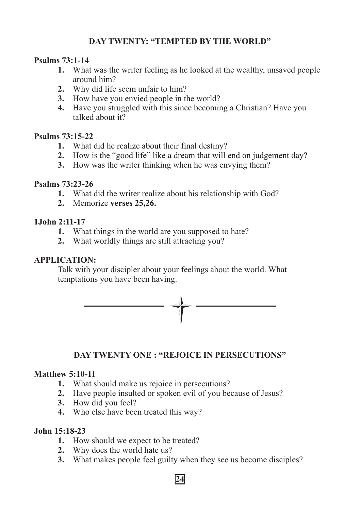## **DAY TWENTY: "TEMPTED BY THE WORLD"**

## **Psalms 73:1-14**

- **1.** What was the writer feeling as he looked at the wealthy, unsaved people around him?
- **2.** Why did life seem unfair to him?
- **3.** How have you envied people in the world?
- **4.** Have you struggled with this since becoming a Christian? Have you talked about it?

## **Psalms 73:15-22**

- **1.** What did he realize about their final destiny?
- **2.** How is the "good life" like a dream that will end on judgement day?
- **3.** How was the writer thinking when he was envying them?

## **Psalms 73:23-26**

- **1.** What did the writer realize about his relationship with God?
- **2.** Memorize **verses 25,26.**

## **1John 2:11-17**

- **1.** What things in the world are you supposed to hate?
- **2.** What worldly things are still attracting you?

## **APPLICATION:**

Talk with your discipler about your feelings about the world. What temptations you have been having.



## **DAY TWENTY ONE : "REJOICE IN PERSECUTIONS"**

## **Matthew 5:10-11**

- **1.** What should make us rejoice in persecutions?
- **2.** Have people insulted or spoken evil of you because of Jesus?
- **3.** How did you feel?
- **4.** Who else have been treated this way?

## **John 15:18-23**

- **1.** How should we expect to be treated?
- **2.** Why does the world hate us?
- **3.** What makes people feel guilty when they see us become disciples?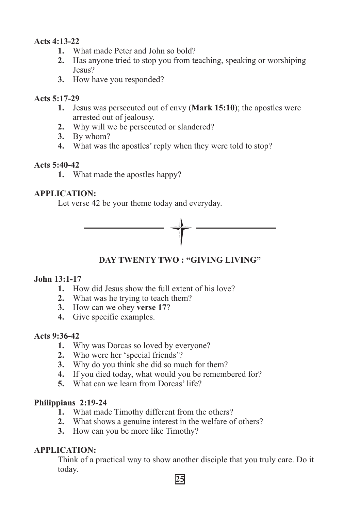## **Acts 4:13-22**

- **1.** What made Peter and John so bold?
- **2.** Has anyone tried to stop you from teaching, speaking or worshiping Jesus?
- **3.** How have you responded?

## **Acts 5:17-29**

- **1.** Jesus was persecuted out of envy (**Mark 15:10**); the apostles were arrested out of jealousy.
- **2.** Why will we be persecuted or slandered?
- **3.** By whom?
- **4.** What was the apostles' reply when they were told to stop?

## **Acts 5:40-42**

**1.** What made the apostles happy?

## **APPLICATION:**

Let verse 42 be your theme today and everyday.



## **DAY TWENTY TWO : "GIVING LIVING"**

## **John 13:1-17**

- **1.** How did Jesus show the full extent of his love?
- **2.** What was he trying to teach them?
- **3.** How can we obey **verse 17**?
- **4.** Give specific examples.

## **Acts 9:36-42**

- **1.** Why was Dorcas so loved by everyone?
- **2.** Who were her 'special friends'?
- **3.** Why do you think she did so much for them?
- **4.** If you died today, what would you be remembered for?
- **5.** What can we learn from Dorcas' life?

## **Philippians 2:19-24**

- **1.** What made Timothy different from the others?
- **2.** What shows a genuine interest in the welfare of others?
- **3.** How can you be more like Timothy?

## **APPLICATION:**

Think of a practical way to show another disciple that you truly care. Do it today.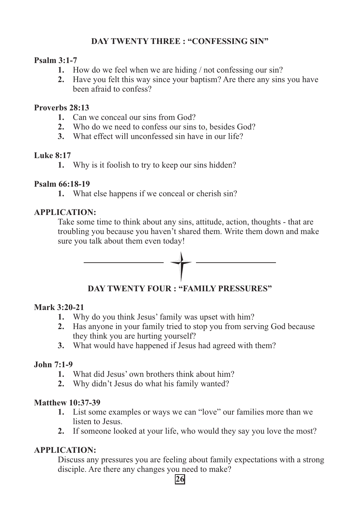## **DAY TWENTY THREE : "CONFESSING SIN"**

## **Psalm 3:1-7**

- **1.** How do we feel when we are hiding / not confessing our sin?
- **2.** Have you felt this way since your baptism? Are there any sins you have been afraid to confess?

#### **Proverbs 28:13**

- **1.** Can we conceal our sins from God?
- **2.** Who do we need to confess our sins to, besides God?
- **3.** What effect will unconfessed sin have in our life?

## **Luke 8:17**

**1.** Why is it foolish to try to keep our sins hidden?

## **Psalm 66:18-19**

**1.** What else happens if we conceal or cherish sin?

## **APPLICATION:**

Take some time to think about any sins, attitude, action, thoughts - that are troubling you because you haven't shared them. Write them down and make sure you talk about them even today!



## **DAY TWENTY FOUR : "FAMILY PRESSURES"**

## **Mark 3:20-21**

- **1.** Why do you think Jesus' family was upset with him?
- **2.** Has anyone in your family tried to stop you from serving God because they think you are hurting yourself?
- **3.** What would have happened if Jesus had agreed with them?

## **John 7:1-9**

- **1.** What did Jesus' own brothers think about him?
- **2.** Why didn't Jesus do what his family wanted?

## **Matthew 10:37-39**

- **1.** List some examples or ways we can "love" our families more than we listen to Jesus.
- **2.** If someone looked at your life, who would they say you love the most?

## **APPLICATION:**

Discuss any pressures you are feeling about family expectations with a strong disciple. Are there any changes you need to make?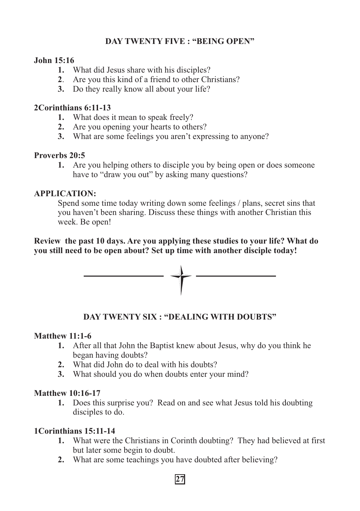## **DAY TWENTY FIVE : "BEING OPEN"**

## **John 15:16**

- **1.** What did Jesus share with his disciples?
- **2**. Are you this kind of a friend to other Christians?
- **3.** Do they really know all about your life?

## **2Corinthians 6:11-13**

- **1.** What does it mean to speak freely?
- **2.** Are you opening your hearts to others?
- **3.** What are some feelings you aren't expressing to anyone?

## **Proverbs 20:5**

**1.** Are you helping others to disciple you by being open or does someone have to "draw you out" by asking many questions?

## **APPLICATION:**

Spend some time today writing down some feelings / plans, secret sins that you haven't been sharing. Discuss these things with another Christian this week. Be open!

## **Review the past 10 days. Are you applying these studies to your life? What do you still need to be open about? Set up time with another disciple today!**



## **DAY TWENTY SIX : "DEALING WITH DOUBTS"**

## **Matthew 11:1-6**

- **1.** After all that John the Baptist knew about Jesus, why do you think he began having doubts?
- **2.** What did John do to deal with his doubts?
- **3.** What should you do when doubts enter your mind?

## **Matthew 10:16-17**

**1.** Does this surprise you? Read on and see what Jesus told his doubting disciples to do.

## **1Corinthians 15:11-14**

- **1.** What were the Christians in Corinth doubting? They had believed at first but later some begin to doubt.
- **2.** What are some teachings you have doubted after believing?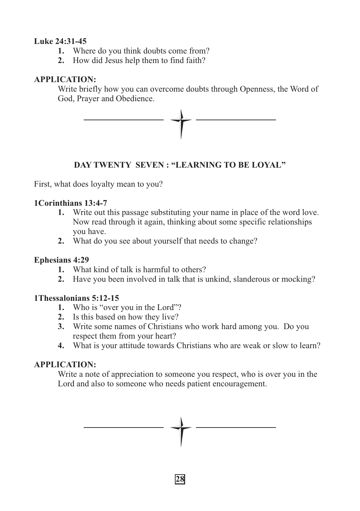## **Luke 24:31-45**

- **1.** Where do you think doubts come from?
- **2.** How did Jesus help them to find faith?

## **APPLICATION:**

Write briefly how you can overcome doubts through Openness, the Word of God, Prayer and Obedience.



## **DAY TWENTY SEVEN : "LEARNING TO BE LOYAL"**

First, what does loyalty mean to you?

## **1Corinthians 13:4-7**

- **1.** Write out this passage substituting your name in place of the word love. Now read through it again, thinking about some specific relationships you have.
- **2.** What do you see about yourself that needs to change?

## **Ephesians 4:29**

- **1.** What kind of talk is harmful to others?
- **2.** Have you been involved in talk that is unkind, slanderous or mocking?

## **1Thessalonians 5:12-15**

- **1.** Who is "over you in the Lord"?
- **2.** Is this based on how they live?
- **3.** Write some names of Christians who work hard among you. Do you respect them from your heart?
- **4.** What is your attitude towards Christians who are weak or slow to learn?

## **APPLICATION:**

Write a note of appreciation to someone you respect, who is over you in the Lord and also to someone who needs patient encouragement.

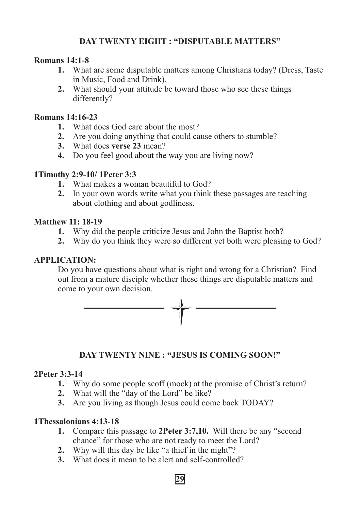## **DAY TWENTY EIGHT : "DISPUTABLE MATTERS"**

#### **Romans 14:1-8**

- **1.** What are some disputable matters among Christians today? (Dress, Taste in Music, Food and Drink).
- **2.** What should your attitude be toward those who see these things differently?

#### **Romans 14:16-23**

- **1.** What does God care about the most?
- **2.** Are you doing anything that could cause others to stumble?
- **3.** What does **verse 23** mean?
- **4.** Do you feel good about the way you are living now?

## **1Timothy 2:9-10/ 1Peter 3:3**

- **1.** What makes a woman beautiful to God?
- **2.** In your own words write what you think these passages are teaching about clothing and about godliness.

#### **Matthew 11: 18-19**

- **1.** Why did the people criticize Jesus and John the Baptist both?
- **2.** Why do you think they were so different yet both were pleasing to God?

#### **APPLICATION:**

Do you have questions about what is right and wrong for a Christian? Find out from a mature disciple whether these things are disputable matters and come to your own decision.



## **DAY TWENTY NINE : "JESUS IS COMING SOON!"**

## **2Peter 3:3-14**

- **1.** Why do some people scoff (mock) at the promise of Christ's return?
- **2.** What will the "day of the Lord" be like?
- **3.** Are you living as though Jesus could come back TODAY?

#### **1Thessalonians 4:13-18**

- **1.** Compare this passage to **2Peter 3:7,10.** Will there be any "second chance" for those who are not ready to meet the Lord?
- **2.** Why will this day be like "a thief in the night"?
- **3.** What does it mean to be alert and self-controlled?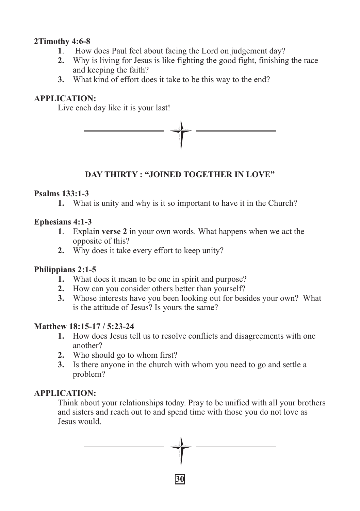## **2Timothy 4:6-8**

- **1**. How does Paul feel about facing the Lord on judgement day?
- **2.** Why is living for Jesus is like fighting the good fight, finishing the race and keeping the faith?
- **3.** What kind of effort does it take to be this way to the end?

## **APPLICATION:**

Live each day like it is your last!



## **DAY THIRTY : "JOINED TOGETHER IN LOVE"**

## **Psalms 133:1-3**

**1.** What is unity and why is it so important to have it in the Church?

## **Ephesians 4:1-3**

- **1**. Explain **verse 2** in your own words. What happens when we act the opposite of this?
- **2.** Why does it take every effort to keep unity?

## **Philippians 2:1-5**

- **1.** What does it mean to be one in spirit and purpose?
- **2.** How can you consider others better than yourself?
- **3.** Whose interests have you been looking out for besides your own? What is the attitude of Jesus? Is yours the same?

## **Matthew 18:15-17 / 5:23-24**

- **1.** How does Jesus tell us to resolve conflicts and disagreements with one another?
- **2.** Who should go to whom first?
- **3.** Is there anyone in the church with whom you need to go and settle a problem?

## **APPLICATION:**

Think about your relationships today. Pray to be unified with all your brothers and sisters and reach out to and spend time with those you do not love as Jesus would.

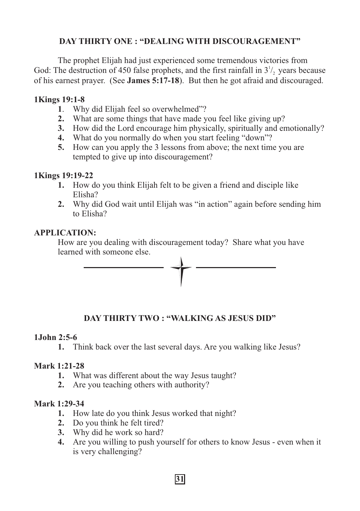## **DAY THIRTY ONE : "DEALING WITH DISCOURAGEMENT"**

The prophet Elijah had just experienced some tremendous victories from God: The destruction of 450 false prophets, and the first rainfall in  $3^{\frac{1}{2}}$ , years because of his earnest prayer. (See **James 5:17-18**). But then he got afraid and discouraged.

## **1Kings 19:1-8**

- **1**. Why did Elijah feel so overwhelmed"?
- **2.** What are some things that have made you feel like giving up?
- **3.** How did the Lord encourage him physically, spiritually and emotionally?
- **4.** What do you normally do when you start feeling "down"?
- **5.** How can you apply the 3 lessons from above; the next time you are tempted to give up into discouragement?

## **1Kings 19:19-22**

- **1.** How do you think Elijah felt to be given a friend and disciple like Elisha?
- **2.** Why did God wait until Elijah was "in action" again before sending him to Elisha?

## **APPLICATION:**

How are you dealing with discouragement today? Share what you have learned with someone else.



## **DAY THIRTY TWO : "WALKING AS JESUS DID"**

## **1John 2:5-6**

**1.** Think back over the last several days. Are you walking like Jesus?

## **Mark 1:21-28**

- **1.** What was different about the way Jesus taught?
- **2.** Are you teaching others with authority?

## **Mark 1:29-34**

- **1.** How late do you think Jesus worked that night?
- **2.** Do you think he felt tired?
- **3.** Why did he work so hard?
- **4.** Are you willing to push yourself for others to know Jesus even when it is very challenging?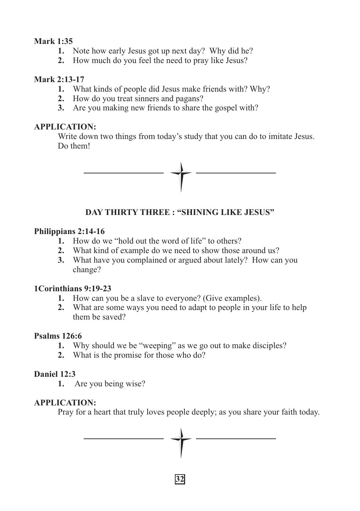## **Mark 1:35**

- **1.** Note how early Jesus got up next day? Why did he?
- **2.** How much do you feel the need to pray like Jesus?

## **Mark 2:13-17**

- **1.** What kinds of people did Jesus make friends with? Why?
- **2.** How do you treat sinners and pagans?
- **3.** Are you making new friends to share the gospel with?

## **APPLICATION:**

Write down two things from today's study that you can do to imitate Jesus. Do them!



## **DAY THIRTY THREE : "SHINING LIKE JESUS"**

## **Philippians 2:14-16**

- **1.** How do we "hold out the word of life" to others?
- **2.** What kind of example do we need to show those around us?
- **3.** What have you complained or argued about lately? How can you change?

## **1Corinthians 9:19-23**

- **1.** How can you be a slave to everyone? (Give examples).
- **2.** What are some ways you need to adapt to people in your life to help them be saved?

## **Psalms 126:6**

- **1.** Why should we be "weeping" as we go out to make disciples?
- **2.** What is the promise for those who do?

## **Daniel 12:3**

**1.** Are you being wise?

## **APPLICATION:**

Pray for a heart that truly loves people deeply; as you share your faith today.

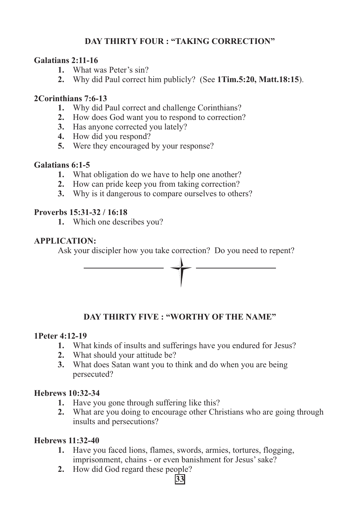## **DAY THIRTY FOUR : "TAKING CORRECTION"**

## **Galatians 2:11-16**

- **1.** What was Peter's sin?
- **2.** Why did Paul correct him publicly? (See **1Tim.5:20, Matt.18:15**).

## **2Corinthians 7:6-13**

- **1.** Why did Paul correct and challenge Corinthians?
- **2.** How does God want you to respond to correction?
- **3.** Has anyone corrected you lately?
- **4.** How did you respond?
- **5.** Were they encouraged by your response?

## **Galatians 6:1-5**

- **1.** What obligation do we have to help one another?
- **2.** How can pride keep you from taking correction?
- **3.** Why is it dangerous to compare ourselves to others?

## **Proverbs 15:31-32 / 16:18**

**1.** Which one describes you?

## **APPLICATION:**

Ask your discipler how you take correction? Do you need to repent?



## **DAY THIRTY FIVE : "WORTHY OF THE NAME"**

## **1Peter 4:12-19**

- **1.** What kinds of insults and sufferings have you endured for Jesus?
- **2.** What should your attitude be?
- **3.** What does Satan want you to think and do when you are being persecuted?

## **Hebrews 10:32-34**

- **1.** Have you gone through suffering like this?
- **2.** What are you doing to encourage other Christians who are going through insults and persecutions?

## **Hebrews 11:32-40**

- **1.** Have you faced lions, flames, swords, armies, tortures, flogging, imprisonment, chains - or even banishment for Jesus' sake?
- **2.** How did God regard these people?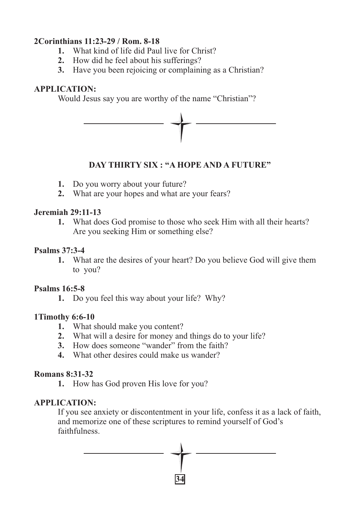## **2Corinthians 11:23-29 / Rom. 8-18**

- **1.** What kind of life did Paul live for Christ?
- **2.** How did he feel about his sufferings?
- **3.** Have you been rejoicing or complaining as a Christian?

## **APPLICATION:**

Would Jesus say you are worthy of the name "Christian"?



## **DAY THIRTY SIX : "A HOPE AND A FUTURE"**

- **1.** Do you worry about your future?
- **2.** What are your hopes and what are your fears?

## **Jeremiah 29:11-13**

**1.** What does God promise to those who seek Him with all their hearts? Are you seeking Him or something else?

## **Psalms 37:3-4**

**1.** What are the desires of your heart? Do you believe God will give them to you?

## **Psalms 16:5-8**

**1.** Do you feel this way about your life? Why?

## **1Timothy 6:6-10**

- **1.** What should make you content?
- **2.** What will a desire for money and things do to your life?
- **3.** How does someone "wander" from the faith?
- **4.** What other desires could make us wander?

## **Romans 8:31-32**

**1.** How has God proven His love for you?

## **APPLICATION:**

If you see anxiety or discontentment in your life, confess it as a lack of faith, and memorize one of these scriptures to remind yourself of God's faithfulness.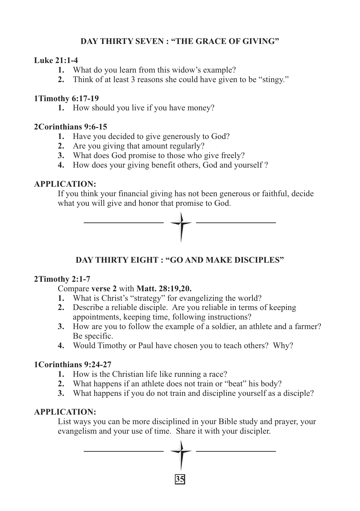## **DAY THIRTY SEVEN : "THE GRACE OF GIVING"**

## **Luke 21:1-4**

- **1.** What do you learn from this widow's example?
- **2.** Think of at least 3 reasons she could have given to be "stingy."

## **1Timothy 6:17-19**

**1.** How should you live if you have money?

## **2Corinthians 9:6-15**

- **1.** Have you decided to give generously to God?
- **2.** Are you giving that amount regularly?
- **3.** What does God promise to those who give freely?
- **4.** How does your giving benefit others, God and yourself ?

## **APPLICATION:**

If you think your financial giving has not been generous or faithful, decide what you will give and honor that promise to God.



## **DAY THIRTY EIGHT : "GO AND MAKE DISCIPLES"**

## **2Timothy 2:1-7**

Compare **verse 2** with **Matt. 28:19,20.** 

- **1.** What is Christ's "strategy" for evangelizing the world?
- **2.** Describe a reliable disciple. Are you reliable in terms of keeping appointments, keeping time, following instructions?
- **3.** How are you to follow the example of a soldier, an athlete and a farmer? Be specific.
- **4.** Would Timothy or Paul have chosen you to teach others? Why?

## **1Corinthians 9:24-27**

- **1.** How is the Christian life like running a race?
- **2.** What happens if an athlete does not train or "beat" his body?
- **3.** What happens if you do not train and discipline yourself as a disciple?

## **APPLICATION:**

List ways you can be more disciplined in your Bible study and prayer, your evangelism and your use of time. Share it with your discipler.

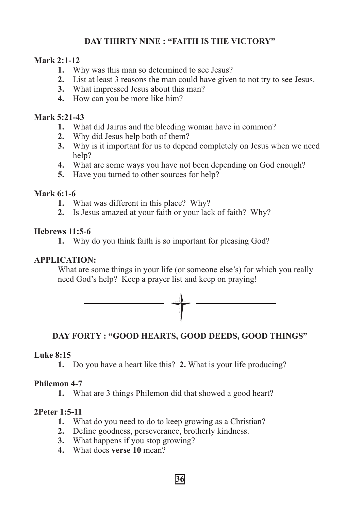## **DAY THIRTY NINE : "FAITH IS THE VICTORY"**

## **Mark 2:1-12**

- **1.** Why was this man so determined to see Jesus?
- **2.** List at least 3 reasons the man could have given to not try to see Jesus.
- **3.** What impressed Jesus about this man?
- **4.** How can you be more like him?

## **Mark 5:21-43**

- **1.** What did Jairus and the bleeding woman have in common?
- **2.** Why did Jesus help both of them?
- **3.** Why is it important for us to depend completely on Jesus when we need help?
- **4.** What are some ways you have not been depending on God enough?
- **5.** Have you turned to other sources for help?

#### **Mark 6:1-6**

- **1.** What was different in this place? Why?
- **2.** Is Jesus amazed at your faith or your lack of faith? Why?

## **Hebrews 11:5-6**

**1.** Why do you think faith is so important for pleasing God?

## **APPLICATION:**

What are some things in your life (or someone else's) for which you really need God's help? Keep a prayer list and keep on praying!



## **DAY FORTY : "GOOD HEARTS, GOOD DEEDS, GOOD THINGS"**

## **Luke 8:15**

**1.** Do you have a heart like this? **2.** What is your life producing?

## **Philemon 4-7**

**1.** What are 3 things Philemon did that showed a good heart?

## **2Peter 1:5-11**

- **1.** What do you need to do to keep growing as a Christian?
- **2.** Define goodness, perseverance, brotherly kindness.
- **3.** What happens if you stop growing?
- **4.** What does **verse 10** mean?